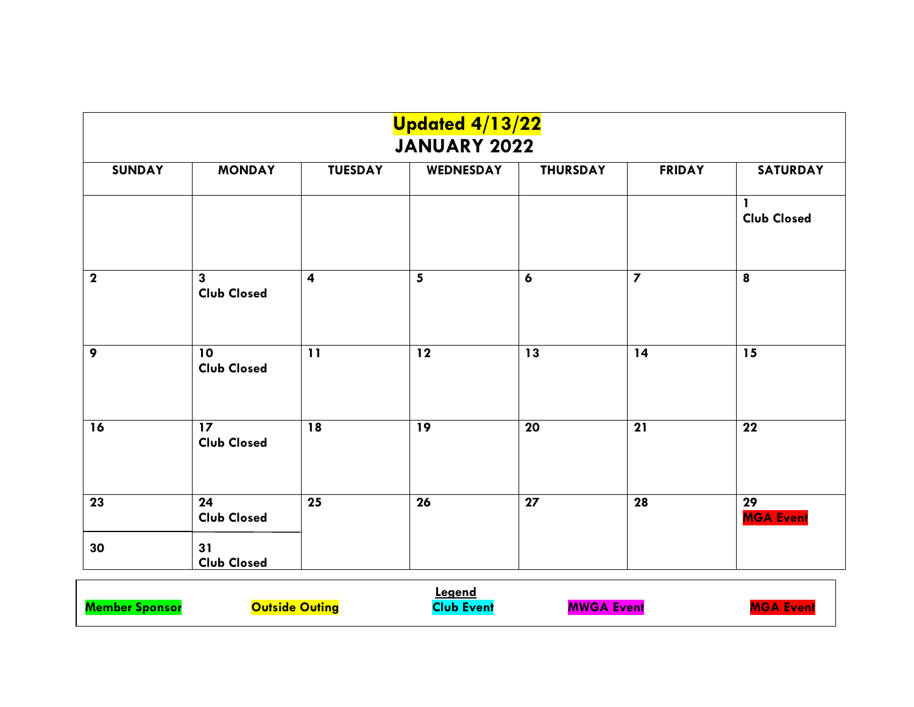|               | <b>Updated 4/13/22</b><br><b>JANUARY 2022</b> |                         |           |                  |                         |                        |  |  |  |
|---------------|-----------------------------------------------|-------------------------|-----------|------------------|-------------------------|------------------------|--|--|--|
| <b>SUNDAY</b> | <b>MONDAY</b>                                 | <b>TUESDAY</b>          | WEDNESDAY | <b>THURSDAY</b>  | <b>FRIDAY</b>           | <b>SATURDAY</b>        |  |  |  |
|               |                                               |                         |           |                  |                         | <b>Club Closed</b>     |  |  |  |
| $\mathbf{2}$  | $\mathbf{3}$<br><b>Club Closed</b>            | $\overline{\mathbf{4}}$ | 5         | $\boldsymbol{6}$ | $\overline{\mathbf{z}}$ | 8                      |  |  |  |
| 9             | 10<br><b>Club Closed</b>                      | 11                      | $12$      | 13               | 14                      | $\overline{15}$        |  |  |  |
| 16            | 17<br><b>Club Closed</b>                      | 18                      | 19        | 20               | 21                      | 22                     |  |  |  |
| 23            | 24<br><b>Club Closed</b>                      | 25                      | 26        | 27               | 28                      | 29<br><b>MGA Event</b> |  |  |  |
| 30            | 31<br><b>Club Closed</b>                      |                         |           |                  |                         |                        |  |  |  |

|                       |                       | Leaend            |                   |                  |
|-----------------------|-----------------------|-------------------|-------------------|------------------|
| <b>Member Sponsor</b> | <b>Outside Outing</b> | <b>Club Event</b> | <b>MWGA Event</b> | <b>MGA Event</b> |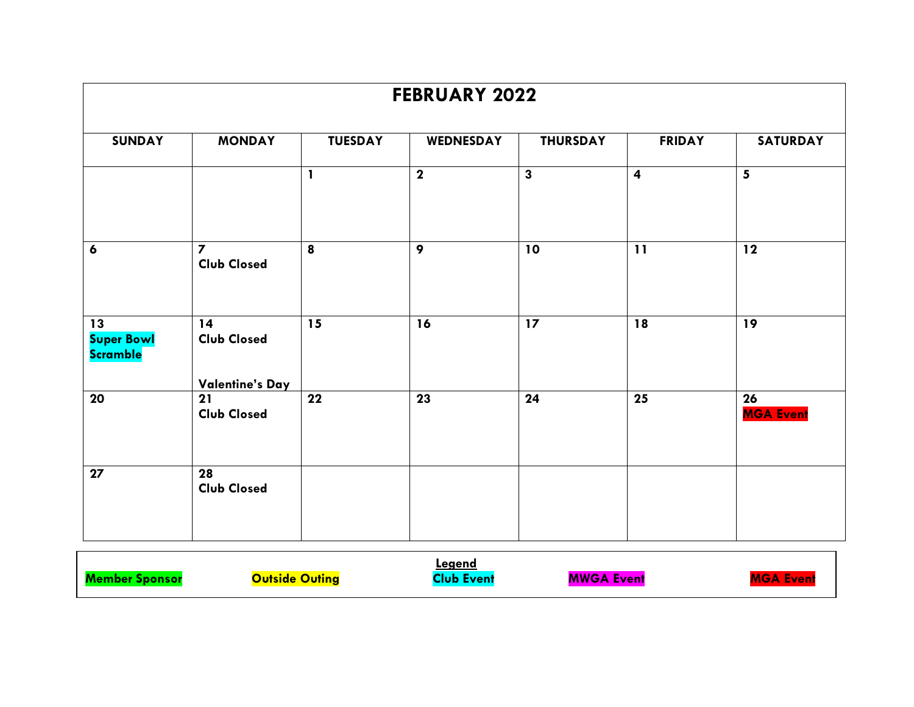|                                            |                                      |                | <b>FEBRUARY 2022</b>    |                         |                         |                        |
|--------------------------------------------|--------------------------------------|----------------|-------------------------|-------------------------|-------------------------|------------------------|
| <b>SUNDAY</b>                              | <b>MONDAY</b>                        | <b>TUESDAY</b> | WEDNESDAY               | <b>THURSDAY</b>         | <b>FRIDAY</b>           | <b>SATURDAY</b>        |
|                                            |                                      | $\mathbf{I}$   | $\overline{\mathbf{2}}$ | $\overline{\mathbf{3}}$ | $\overline{\mathbf{4}}$ | 5                      |
| $\boldsymbol{6}$                           | $\overline{7}$<br><b>Club Closed</b> | 8              | 9                       | 10                      | 11                      | 12                     |
|                                            |                                      |                |                         |                         |                         |                        |
| 13<br><b>Super Bowl</b><br><b>Scramble</b> | 14<br><b>Club Closed</b>             | 15             | 16                      | 17                      | 18                      | 19                     |
|                                            | Valentine's Day                      |                |                         |                         |                         |                        |
| 20                                         | 21<br><b>Club Closed</b>             | 22             | $\overline{23}$         | 24                      | 25                      | 26<br><b>MGA Event</b> |
| $\overline{27}$                            | 28<br><b>Club Closed</b>             |                |                         |                         |                         |                        |
|                                            |                                      |                |                         |                         |                         |                        |

|                       |                | <u>Legend</u> |                   |     |
|-----------------------|----------------|---------------|-------------------|-----|
| <b>M</b> <sub>c</sub> | Outside Outing | Event         | <b>MWGA Event</b> | . . |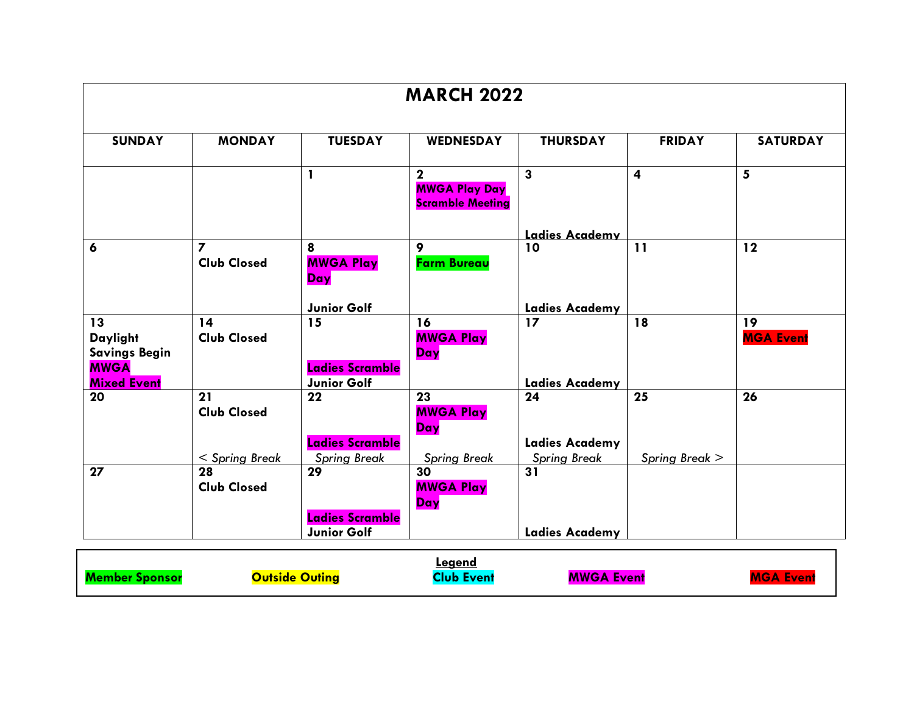|                                                                             |                                            |                                              | <b>MARCH 2022</b>                                                          |                                                    |                         |                        |
|-----------------------------------------------------------------------------|--------------------------------------------|----------------------------------------------|----------------------------------------------------------------------------|----------------------------------------------------|-------------------------|------------------------|
| <b>SUNDAY</b>                                                               | <b>MONDAY</b>                              | <b>TUESDAY</b>                               | WEDNESDAY                                                                  | <b>THURSDAY</b>                                    | <b>FRIDAY</b>           | <b>SATURDAY</b>        |
|                                                                             |                                            | $\mathbf{I}$                                 | $\overline{\mathbf{2}}$<br><b>MWGA Play Day</b><br><b>Scramble Meeting</b> | $\overline{\mathbf{3}}$                            | $\overline{\mathbf{4}}$ | 5                      |
|                                                                             |                                            |                                              |                                                                            | Ladies Academy                                     |                         |                        |
| 6                                                                           | $\overline{z}$<br><b>Club Closed</b>       | 8<br><b>MWGA Play</b><br>Day                 | 9<br><b>Farm Bureau</b>                                                    | 10                                                 | 11                      | 12                     |
|                                                                             |                                            | Junior Golf                                  |                                                                            | <b>Ladies Academy</b>                              |                         |                        |
| 13<br>Daylight<br><b>Savings Begin</b><br><b>MWGA</b><br><b>Mixed Event</b> | 14<br><b>Club Closed</b>                   | 15<br>Ladies Scramble<br>Junior Golf         | 16<br><b>MWGA Play</b><br>Day                                              | 17<br><b>Ladies Academy</b>                        | 18                      | 19<br><b>MGA Event</b> |
| 20                                                                          | 21<br><b>Club Closed</b><br>< Spring Break | 22<br>Ladies Scramble<br><b>Spring Break</b> | 23<br><b>MWGA Play</b><br>Day<br><b>Spring Break</b>                       | 24<br><b>Ladies Academy</b><br><b>Spring Break</b> | 25<br>Spring Break >    | 26                     |
| 27                                                                          | 28<br><b>Club Closed</b>                   | 29                                           | 30<br><b>MWGA Play</b><br>Day                                              | 31                                                 |                         |                        |
|                                                                             |                                            | Ladies Scramble<br><b>Junior Golf</b>        |                                                                            | <b>Ladies Academy</b>                              |                         |                        |

|                       |                       | ∟eaend           |                   |                  |
|-----------------------|-----------------------|------------------|-------------------|------------------|
| <b>Member Sponsor</b> | <b>Outside Outing</b> | <b>Nub Event</b> | <b>MWGA Event</b> | <b>MGA Event</b> |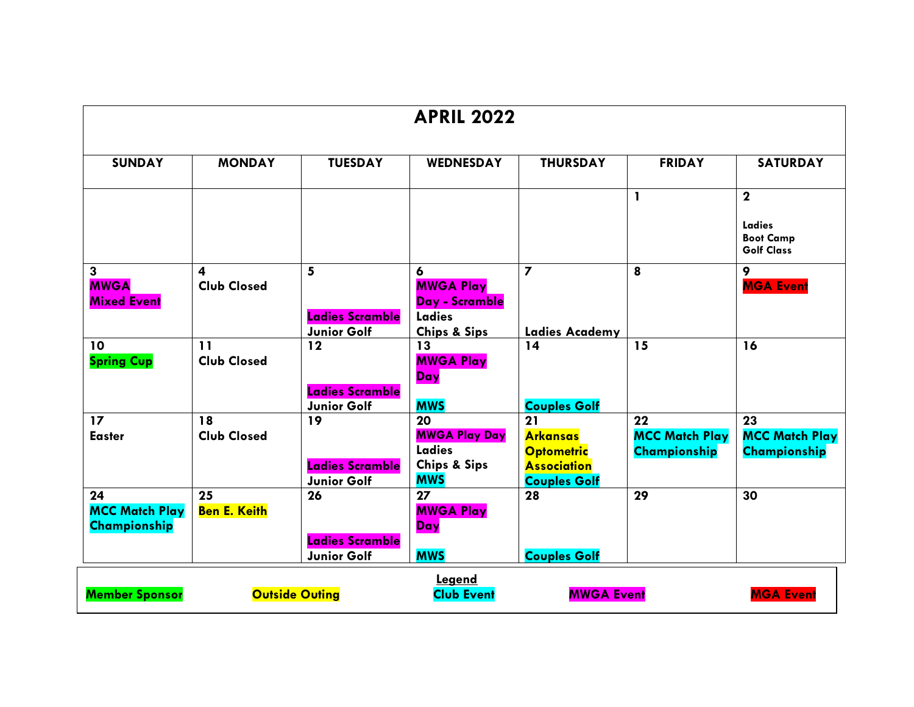|                                                              |                                               |                                                    | <b>APRIL 2022</b>                                                             |                                                                                         |                                                    |                                                    |
|--------------------------------------------------------------|-----------------------------------------------|----------------------------------------------------|-------------------------------------------------------------------------------|-----------------------------------------------------------------------------------------|----------------------------------------------------|----------------------------------------------------|
| <b>SUNDAY</b>                                                | <b>MONDAY</b>                                 | <b>TUESDAY</b>                                     | <b>WEDNESDAY</b>                                                              | <b>THURSDAY</b>                                                                         | <b>FRIDAY</b>                                      | <b>SATURDAY</b>                                    |
|                                                              |                                               |                                                    |                                                                               |                                                                                         | 1                                                  | $\mathbf{2}$                                       |
|                                                              |                                               |                                                    |                                                                               |                                                                                         |                                                    | Ladies<br><b>Boot Camp</b><br><b>Golf Class</b>    |
| $\overline{\mathbf{3}}$<br><b>MWGA</b><br><b>Mixed Event</b> | $\overline{\mathbf{4}}$<br><b>Club Closed</b> | 5<br><b>Ladies Scramble</b><br>Junior Golf         | 6<br><b>MWGA Play</b><br>Day - Scramble<br>Ladies<br><b>Chips &amp; Sips</b>  | $\overline{\mathbf{z}}$<br><b>Ladies Academy</b>                                        | 8                                                  | 9<br><b>MGA Event</b>                              |
| 10<br><b>Spring Cup</b>                                      | 11<br><b>Club Closed</b>                      | 12<br>Ladies Scramble<br>Junior Golf               | 13<br><b>MWGA Play</b><br>Day<br><b>MWS</b>                                   | 14<br><b>Couples Golf</b>                                                               | 15                                                 | 16                                                 |
| 17<br><b>Easter</b>                                          | 18<br><b>Club Closed</b>                      | 19<br>Ladies Scramble<br>Junior Golf               | 20<br><b>MWGA Play Day</b><br>Ladies<br><b>Chips &amp; Sips</b><br><b>MWS</b> | 21<br><b>Arkansas</b><br><b>Optometric</b><br><b>Association</b><br><b>Couples Golf</b> | 22<br><b>MCC Match Play</b><br><b>Championship</b> | 23<br><b>MCC Match Play</b><br><b>Championship</b> |
| 24<br><b>MCC Match Play</b><br>Championship                  | 25<br><b>Ben E. Keith</b>                     | 26<br><b>Ladies Scramble</b><br><b>Junior Golf</b> | 27<br><b>MWGA Play</b><br>Day<br><b>MWS</b>                                   | 28<br><b>Couples Golf</b>                                                               | 29                                                 | 30                                                 |
| <b>Member Sponsor</b>                                        |                                               | <b>Outside Outing</b>                              | Legend<br><b>Club Event</b>                                                   | <b>MWGA Event</b>                                                                       |                                                    | <b>MGA Event</b>                                   |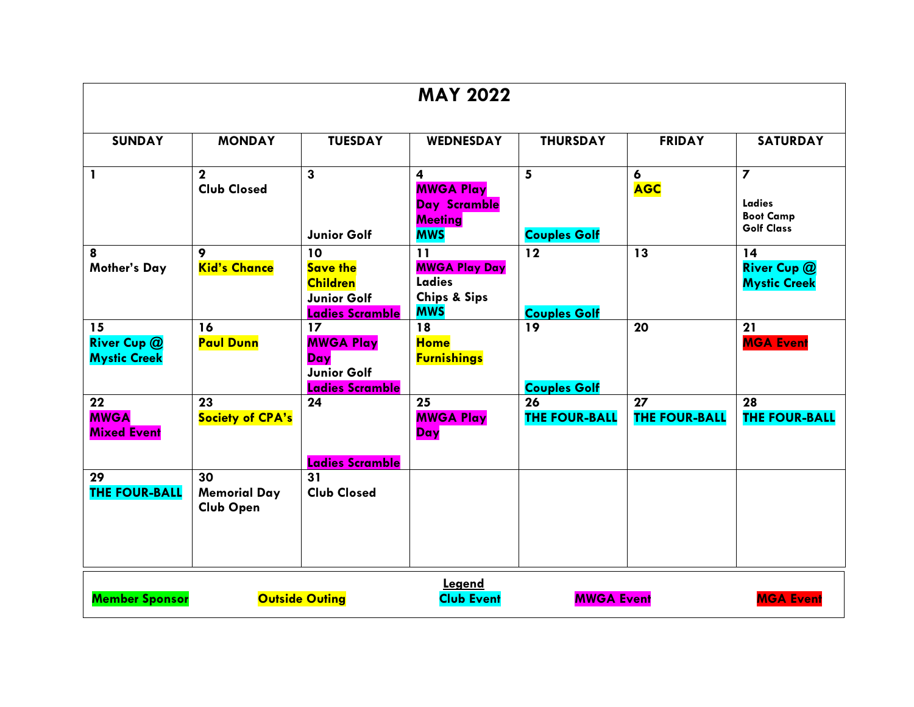|                                                 |                                               |                                                                                          | <b>MAY 2022</b>                                                                             |                            |                                |                                                                            |
|-------------------------------------------------|-----------------------------------------------|------------------------------------------------------------------------------------------|---------------------------------------------------------------------------------------------|----------------------------|--------------------------------|----------------------------------------------------------------------------|
| <b>SUNDAY</b>                                   | <b>MONDAY</b>                                 | <b>TUESDAY</b>                                                                           | <b>WEDNESDAY</b>                                                                            | <b>THURSDAY</b>            | <b>FRIDAY</b>                  | <b>SATURDAY</b>                                                            |
| $\mathbf{1}$                                    | $\mathbf{2}$<br><b>Club Closed</b>            | $\overline{\mathbf{3}}$<br><b>Junior Golf</b>                                            | $\overline{\mathbf{4}}$<br><b>MWGA Play</b><br>Day Scramble<br><b>Meeting</b><br><b>MWS</b> | 5<br><b>Couples Golf</b>   | $\boldsymbol{6}$<br><b>AGC</b> | $\overline{\mathbf{z}}$<br>Ladies<br><b>Boot Camp</b><br><b>Golf Class</b> |
| 8<br><b>Mother's Day</b>                        | 9<br><b>Kid's Chance</b>                      | 10<br><b>Save the</b><br><b>Children</b><br><b>Junior Golf</b><br><b>Ladies Scramble</b> | 11<br><b>MWGA Play Day</b><br><b>Ladies</b><br><b>Chips &amp; Sips</b><br><b>MWS</b>        | 12<br><b>Couples Golf</b>  | 13                             | 14<br><b>River Cup @</b><br><b>Mystic Creek</b>                            |
| 15<br><b>River Cup @</b><br><b>Mystic Creek</b> | 16<br><b>Paul Dunn</b>                        | 17<br><b>MWGA Play</b><br>Day<br><b>Junior Golf</b><br>Ladies Scramble                   | 18<br><b>Home</b><br><b>Furnishings</b>                                                     | 19<br><b>Couples Golf</b>  | 20                             | 21<br><b>MGA Event</b>                                                     |
| 22<br><b>MWGA</b><br><b>Mixed Event</b>         | 23<br><b>Society of CPA's</b>                 | 24<br>Ladies Scramble                                                                    | 25<br><b>MWGA Play</b><br>Day                                                               | 26<br><b>THE FOUR-BALL</b> | 27<br><b>THE FOUR-BALL</b>     | 28<br><b>THE FOUR-BALL</b>                                                 |
| 29<br><b>THE FOUR-BALL</b>                      | 30<br><b>Memorial Day</b><br><b>Club Open</b> | 31<br><b>Club Closed</b>                                                                 |                                                                                             |                            |                                |                                                                            |
| <b>Member Sponsor</b>                           |                                               | <b>Outside Outing</b>                                                                    | Legend<br><b>Club Event</b>                                                                 | <b>MWGA Event</b>          |                                | <b>MGA Event</b>                                                           |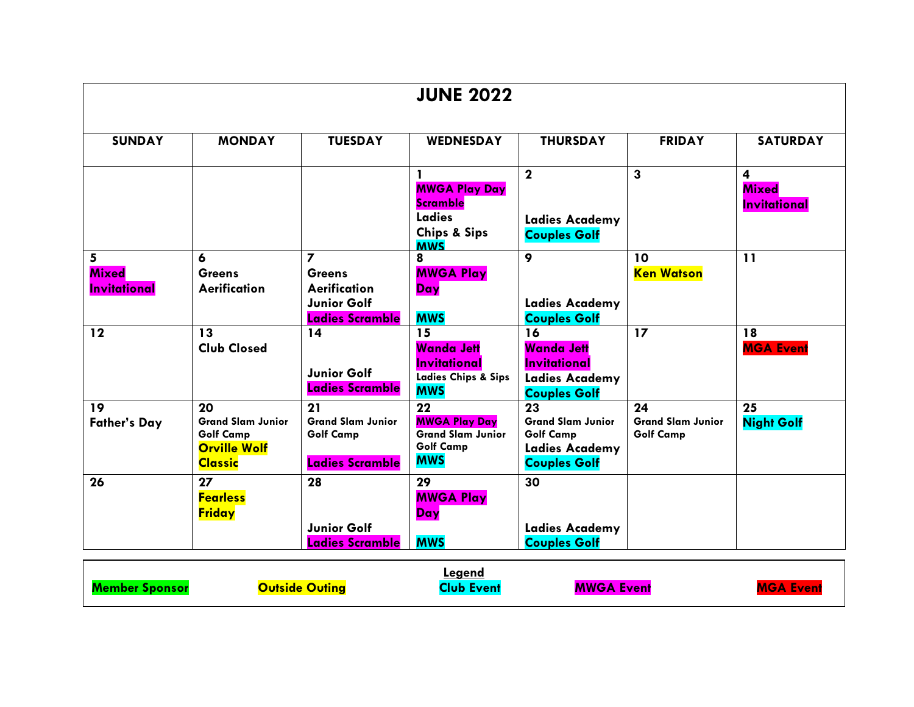|                                                        |                                                                                             |                                                                                                           | <b>JUNE 2022</b>                                                                               |                                                                                                    |                                                    |                                                                |
|--------------------------------------------------------|---------------------------------------------------------------------------------------------|-----------------------------------------------------------------------------------------------------------|------------------------------------------------------------------------------------------------|----------------------------------------------------------------------------------------------------|----------------------------------------------------|----------------------------------------------------------------|
| <b>SUNDAY</b>                                          | <b>MONDAY</b>                                                                               | <b>TUESDAY</b>                                                                                            | <b>WEDNESDAY</b>                                                                               | <b>THURSDAY</b>                                                                                    | <b>FRIDAY</b>                                      | <b>SATURDAY</b>                                                |
|                                                        |                                                                                             |                                                                                                           | 1<br><b>MWGA Play Day</b><br><b>Scramble</b><br><b>Ladies</b>                                  | $\mathbf{2}$<br><b>Ladies Academy</b>                                                              | $\mathbf{3}$                                       | $\overline{\mathbf{4}}$<br><b>Mixed</b><br><b>Invitational</b> |
|                                                        |                                                                                             |                                                                                                           | <b>Chips &amp; Sips</b><br><b>MWS</b>                                                          | <b>Couples Golf</b>                                                                                |                                                    |                                                                |
| $5\overline{)}$<br><b>Mixed</b><br><b>Invitational</b> | 6<br><b>Greens</b><br>Aerification                                                          | $\overline{\phantom{a}}$<br><b>Greens</b><br>Aerification<br><b>Junior Golf</b><br><b>Ladies Scramble</b> | 8<br><b>MWGA Play</b><br>Day<br><b>MWS</b>                                                     | 9<br><b>Ladies Academy</b><br><b>Couples Golf</b>                                                  | 10<br><b>Ken Watson</b>                            | 11                                                             |
| $12$                                                   | 13<br><b>Club Closed</b>                                                                    | 14<br><b>Junior Golf</b><br>Ladies Scramble                                                               | 15<br><b>Wanda Jett</b><br><b>Invitational</b><br><b>Ladies Chips &amp; Sips</b><br><b>MWS</b> | 16<br>Wanda Jett<br><b>Invitational</b><br><b>Ladies Academy</b><br><b>Couples Golf</b>            | 17                                                 | 18<br><b>MGA Event</b>                                         |
| 19<br><b>Father's Day</b>                              | 20<br><b>Grand Slam Junior</b><br><b>Golf Camp</b><br><b>Orville Wolf</b><br><b>Classic</b> | 21<br><b>Grand Slam Junior</b><br><b>Golf Camp</b><br>Ladies Scramble                                     | 22<br><b>MWGA Play Day</b><br><b>Grand Slam Junior</b><br><b>Golf Camp</b><br><b>MWS</b>       | 23<br><b>Grand Slam Junior</b><br><b>Golf Camp</b><br><b>Ladies Academy</b><br><b>Couples Golf</b> | 24<br><b>Grand Slam Junior</b><br><b>Golf Camp</b> | 25<br><b>Night Golf</b>                                        |
| 26                                                     | 27<br><b>Fearless</b><br><b>Friday</b>                                                      | 28<br><b>Junior Golf</b><br>Ladies Scramble                                                               | 29<br><b>MWGA Play</b><br>Day<br><b>MWS</b>                                                    | 30<br><b>Ladies Academy</b><br><b>Couples Golf</b>                                                 |                                                    |                                                                |

|                        | <b>Legend</b> |            |                   |
|------------------------|---------------|------------|-------------------|
| <u> Jutside Outina</u> | 7511          | MWGA Event | <b>L</b> ven<br>. |
|                        |               |            |                   |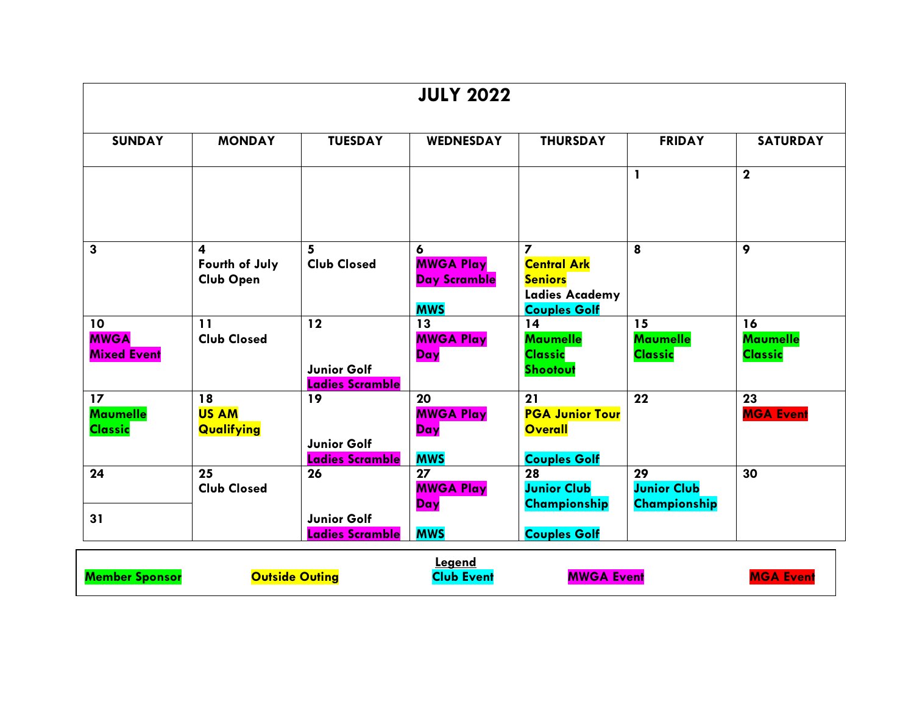|                                                      |                                         |                                             | <b>JULY 2022</b>                            |                                                                       |                                          |                                         |
|------------------------------------------------------|-----------------------------------------|---------------------------------------------|---------------------------------------------|-----------------------------------------------------------------------|------------------------------------------|-----------------------------------------|
| <b>SUNDAY</b>                                        | <b>MONDAY</b>                           | <b>TUESDAY</b>                              | WEDNESDAY                                   | <b>THURSDAY</b>                                                       | <b>FRIDAY</b>                            | <b>SATURDAY</b>                         |
|                                                      |                                         |                                             |                                             |                                                                       | $\mathbf{I}$                             | $\mathbf{2}$                            |
| 3                                                    | 4<br>Fourth of July                     | 5<br><b>Club Closed</b>                     | 6<br><b>MWGA Play</b>                       | $\overline{ }$<br><b>Central Ark</b>                                  | 8                                        | 9                                       |
|                                                      | <b>Club Open</b>                        |                                             | Day Scramble<br><b>MWS</b>                  | <b>Seniors</b><br><b>Ladies Academy</b><br><b>Couples Golf</b>        |                                          |                                         |
| 10<br><b>MWGA</b><br><b>Mixed Event</b>              | 11<br><b>Club Closed</b>                | 12<br><b>Junior Golf</b><br>Ladies Scramble | 13<br><b>MWGA Play</b><br>Day               | 14<br><b>Maumelle</b><br><b>Classic</b><br>Shootout                   | 15<br><b>Maumelle</b><br><b>Classic</b>  | 16<br><b>Maumelle</b><br><b>Classic</b> |
| 17 <sup>2</sup><br><b>Maumelle</b><br><b>Classic</b> | 18<br><b>US AM</b><br><b>Qualifying</b> | 19<br><b>Junior Golf</b><br>Ladies Scramble | 20<br><b>MWGA Play</b><br>Day<br><b>MWS</b> | 21<br><b>PGA Junior Tour</b><br><b>Overall</b><br><b>Couples Golf</b> | 22                                       | 23<br><b>MGA Event</b>                  |
| 24                                                   | 25<br><b>Club Closed</b>                | 26                                          | 27<br><b>MWGA Play</b><br>Day               | 28<br><b>Junior Club</b><br>Championship                              | 29<br><b>Junior Club</b><br>Championship | 30                                      |
| 31                                                   |                                         | <b>Junior Golf</b><br>Ladies Scramble       | <b>MWS</b>                                  | <b>Couples Golf</b>                                                   |                                          |                                         |

|                       |                       | Legend     |                   |                  |
|-----------------------|-----------------------|------------|-------------------|------------------|
| <b>Member Sponsor</b> | <b>Outside Outing</b> | Club Event | <b>MWGA Event</b> | <b>MGA Event</b> |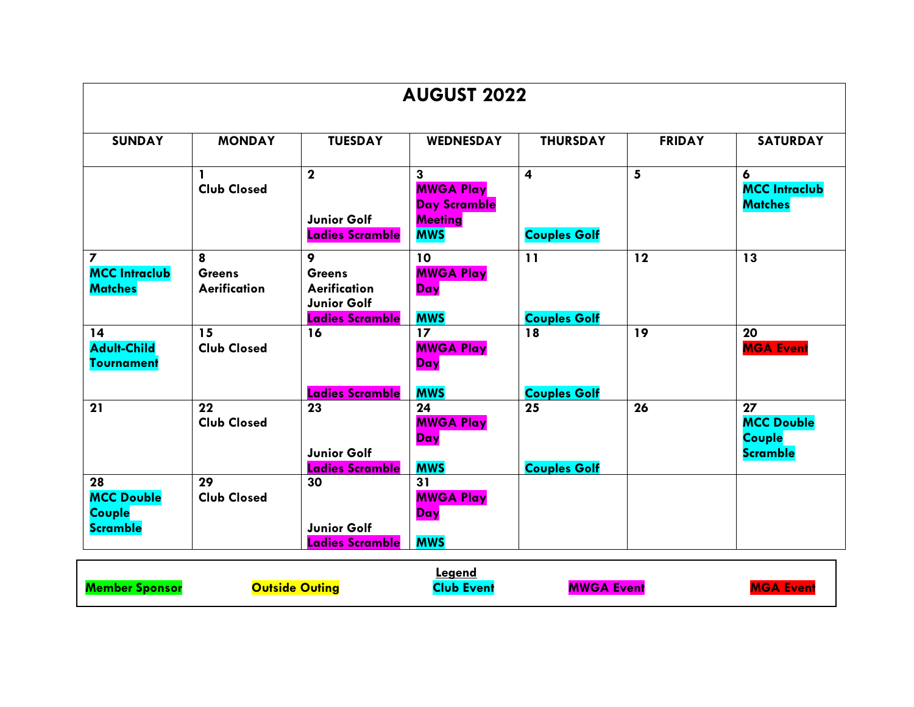| <b>AUGUST 2022</b>                                                |                                           |                                                                                           |                                                                                                    |                                                |               |                                                             |  |
|-------------------------------------------------------------------|-------------------------------------------|-------------------------------------------------------------------------------------------|----------------------------------------------------------------------------------------------------|------------------------------------------------|---------------|-------------------------------------------------------------|--|
| <b>SUNDAY</b>                                                     | <b>MONDAY</b>                             | <b>TUESDAY</b>                                                                            | WEDNESDAY                                                                                          | <b>THURSDAY</b>                                | <b>FRIDAY</b> | <b>SATURDAY</b>                                             |  |
|                                                                   | $\mathbf{1}$<br><b>Club Closed</b>        | $\mathbf{2}$<br><b>Junior Golf</b><br>Ladies Scramble                                     | $\overline{\mathbf{3}}$<br><b>MWGA Play</b><br><b>Day Scramble</b><br><b>Meeting</b><br><b>MWS</b> | $\overline{\mathbf{4}}$<br><b>Couples Golf</b> | 5             | 6<br><b>MCC Intraclub</b><br><b>Matches</b>                 |  |
| $\overline{\mathbf{z}}$<br><b>MCC Intraclub</b><br><b>Matches</b> | 8<br><b>Greens</b><br><b>Aerification</b> | 9<br><b>Greens</b><br><b>Aerification</b><br><b>Junior Golf</b><br><b>Ladies Scramble</b> | 10<br><b>MWGA Play</b><br>Day<br><b>MWS</b>                                                        | 11<br><b>Couples Golf</b>                      | 12            | 13                                                          |  |
| 14<br><b>Adult-Child</b><br><b>Tournament</b>                     | 15<br><b>Club Closed</b>                  | 16<br><b>Ladies Scramble</b>                                                              | 17<br><b>MWGA Play</b><br>Day<br><b>MWS</b>                                                        | 18<br><b>Couples Golf</b>                      | 19            | 20<br><b>MGA Event</b>                                      |  |
| 21                                                                | 22<br><b>Club Closed</b>                  | 23<br><b>Junior Golf</b><br><b>Ladies Scramble</b>                                        | 24<br><b>MWGA Play</b><br>Day<br><b>MWS</b>                                                        | 25<br><b>Couples Golf</b>                      | 26            | 27<br><b>MCC Double</b><br><b>Couple</b><br><b>Scramble</b> |  |
| 28<br><b>MCC Double</b><br>Couple<br><b>Scramble</b>              | 29<br><b>Club Closed</b>                  | 30<br>Junior Golf<br><b>Ladies Scramble</b>                                               | 31<br><b>MWGA Play</b><br>Day<br><b>MWS</b>                                                        |                                                |               |                                                             |  |

| <b>MWGA Event</b><br>Outside Outing<br>'lıık<br>Event. |  |  | ∟eqend |  |  |
|--------------------------------------------------------|--|--|--------|--|--|
|--------------------------------------------------------|--|--|--------|--|--|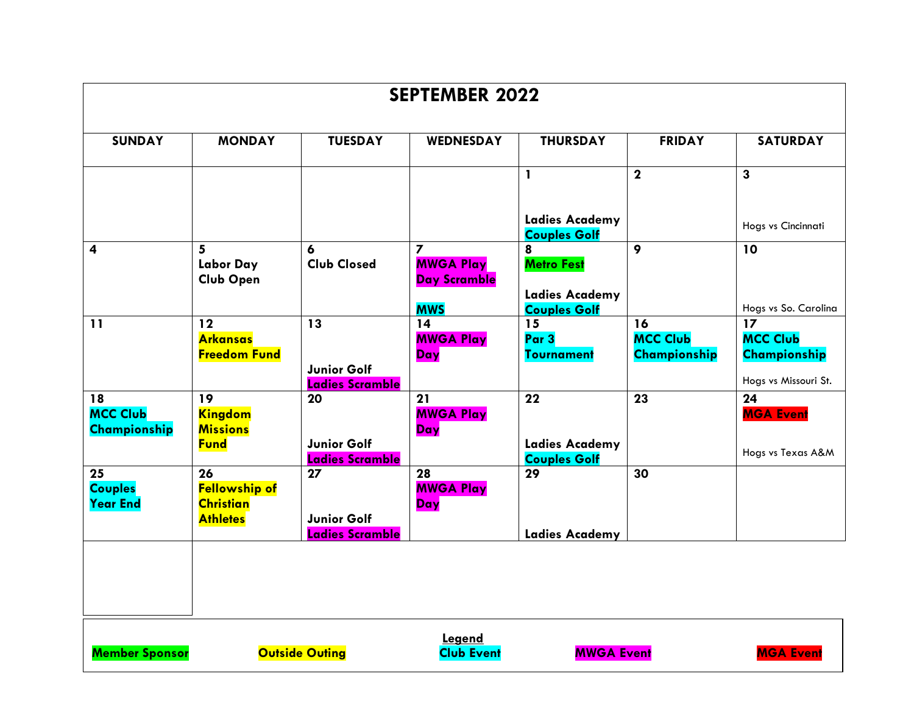| <b>SEPTEMBER 2022</b>                   |                                                                   |                                                    |                                                                                  |                                                                        |                                       |                                                               |  |
|-----------------------------------------|-------------------------------------------------------------------|----------------------------------------------------|----------------------------------------------------------------------------------|------------------------------------------------------------------------|---------------------------------------|---------------------------------------------------------------|--|
| <b>SUNDAY</b>                           | <b>MONDAY</b>                                                     | <b>TUESDAY</b>                                     | <b>WEDNESDAY</b>                                                                 | <b>THURSDAY</b>                                                        | <b>FRIDAY</b>                         | <b>SATURDAY</b>                                               |  |
|                                         |                                                                   |                                                    |                                                                                  | $\mathbf{1}$                                                           | $\mathbf{2}$                          | $\overline{\mathbf{3}}$                                       |  |
|                                         |                                                                   |                                                    |                                                                                  | <b>Ladies Academy</b><br><b>Couples Golf</b>                           |                                       | Hogs vs Cincinnati                                            |  |
| $\overline{\mathbf{4}}$                 | 5 <sup>1</sup><br>Labor Day<br><b>Club Open</b>                   | 6<br><b>Club Closed</b>                            | $\overline{\mathbf{z}}$<br><b>MWGA Play</b><br><b>Day Scramble</b><br><b>MWS</b> | 8<br><b>Metro Fest</b><br><b>Ladies Academy</b><br><b>Couples Golf</b> | $\mathbf{9}$                          | 10<br>Hogs vs So. Carolina                                    |  |
| 11                                      | 12<br><b>Arkansas</b><br><b>Freedom Fund</b>                      | 13<br>Junior Golf<br><b>Ladies Scramble</b>        | 14<br><b>MWGA Play</b><br>Day                                                    | 15<br>Par 3<br><b>Tournament</b>                                       | 16<br><b>MCC Club</b><br>Championship | 17<br><b>MCC Club</b><br>Championship<br>Hogs vs Missouri St. |  |
| 18<br><b>MCC Club</b><br>Championship   | 19<br><b>Kingdom</b><br><b>Missions</b><br><b>Fund</b>            | 20<br><b>Junior Golf</b><br>Ladies Scramble        | 21<br><b>MWGA Play</b><br>Day                                                    | 22<br><b>Ladies Academy</b><br><b>Couples Golf</b>                     | 23                                    | $\overline{24}$<br><b>MGA Event</b><br>Hogs vs Texas A&M      |  |
| 25<br><b>Couples</b><br><b>Year End</b> | 26<br><b>Fellowship of</b><br><b>Christian</b><br><b>Athletes</b> | 27<br><b>Junior Golf</b><br><b>Ladies Scramble</b> | 28<br><b>MWGA Play</b><br>Day                                                    | 29<br><b>Ladies Academy</b>                                            | 30                                    |                                                               |  |
|                                         |                                                                   |                                                    | Legend                                                                           |                                                                        |                                       |                                                               |  |

**Member Sponsor Could Automaker Club Event Club Event MWGA Event Club Event** 

**Club Event** 

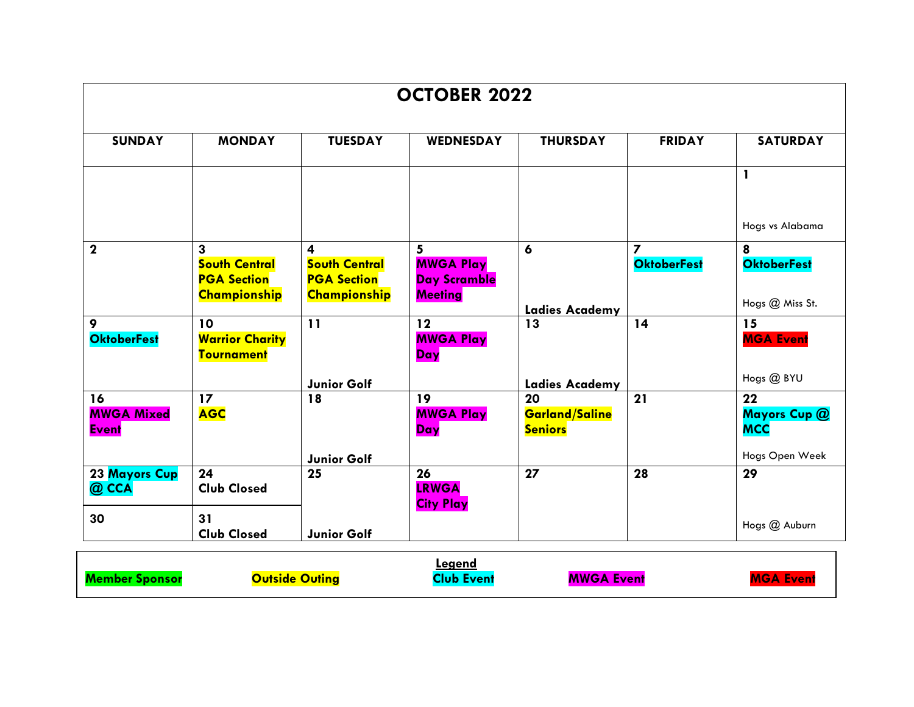| <b>OCTOBER 2022</b>                     |                                                                 |                                                                        |                                                                |                                               |                                               |                                            |  |
|-----------------------------------------|-----------------------------------------------------------------|------------------------------------------------------------------------|----------------------------------------------------------------|-----------------------------------------------|-----------------------------------------------|--------------------------------------------|--|
| <b>SUNDAY</b>                           | <b>MONDAY</b>                                                   | <b>TUESDAY</b>                                                         | <b>WEDNESDAY</b>                                               | <b>THURSDAY</b>                               | <b>FRIDAY</b>                                 | <b>SATURDAY</b>                            |  |
|                                         |                                                                 |                                                                        |                                                                |                                               |                                               | 1                                          |  |
|                                         |                                                                 |                                                                        |                                                                |                                               |                                               | Hogs vs Alabama                            |  |
| $\mathbf{2}$                            | 3<br><b>South Central</b><br><b>PGA Section</b><br>Championship | 4<br><b>South Central</b><br><b>PGA Section</b><br><b>Championship</b> | 5<br><b>MWGA Play</b><br><b>Day Scramble</b><br><b>Meeting</b> | 6                                             | $\overline{\mathbf{z}}$<br><b>OktoberFest</b> | 8<br><b>OktoberFest</b><br>Hogs @ Miss St. |  |
| 9<br><b>OktoberFest</b>                 | 10<br><b>Warrior Charity</b><br><b>Tournament</b>               | 11                                                                     | 12<br><b>MWGA Play</b><br>Day                                  | <b>Ladies Academy</b><br>13                   | 14                                            | 15<br><b>MGA Event</b>                     |  |
|                                         |                                                                 | Junior Golf                                                            |                                                                | Ladies Academy                                |                                               | Hogs @ BYU                                 |  |
| 16<br><b>MWGA Mixed</b><br><b>Event</b> | 17<br><b>AGC</b>                                                | 18                                                                     | 19<br><b>MWGA Play</b><br>Day                                  | 20<br><b>Garland/Saline</b><br><b>Seniors</b> | 21                                            | 22<br>Mayors Cup @<br><b>MCC</b>           |  |
|                                         |                                                                 | Junior Golf                                                            |                                                                |                                               |                                               | Hogs Open Week                             |  |
| 23 Mayors Cup<br>@ CCA                  | 24<br><b>Club Closed</b>                                        | $\overline{25}$                                                        | 26<br><b>LRWGA</b><br><b>City Play</b>                         | 27                                            | 28                                            | 29                                         |  |
| 30                                      | 31<br><b>Club Closed</b>                                        | Junior Golf                                                            |                                                                |                                               |                                               | Hogs @ Auburn                              |  |

|                       |                       | .eaend     |                   |                  |
|-----------------------|-----------------------|------------|-------------------|------------------|
| <b>Member Sponsor</b> | <b>Outside Outing</b> | Club Event | <b>MWGA Event</b> | <b>MGA Event</b> |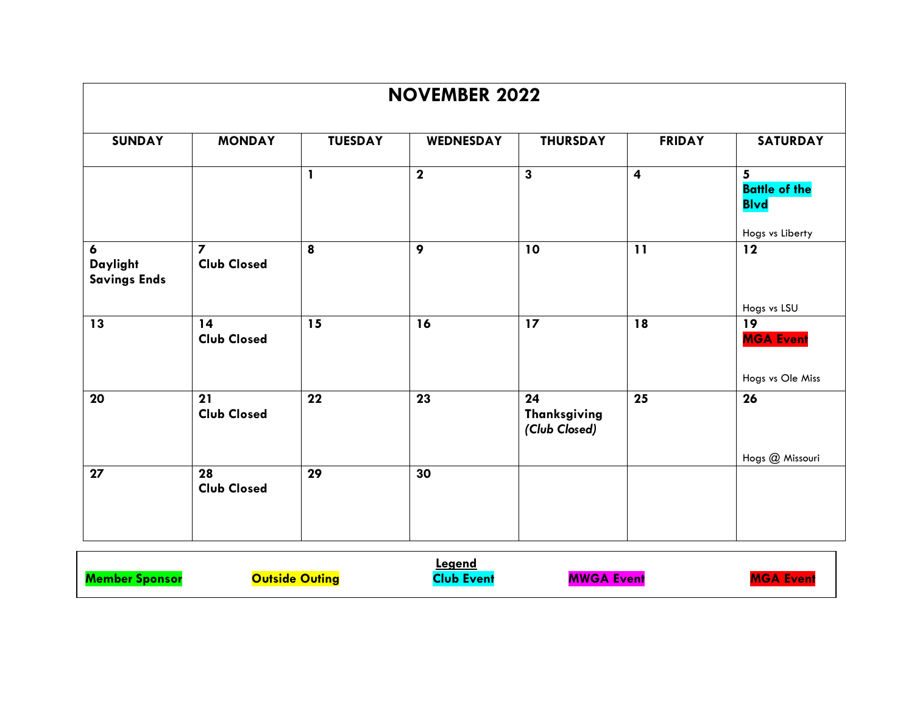| <b>NOVEMBER 2022</b>                                                                                                 |                                      |              |                  |                                            |                         |                                                       |  |  |  |
|----------------------------------------------------------------------------------------------------------------------|--------------------------------------|--------------|------------------|--------------------------------------------|-------------------------|-------------------------------------------------------|--|--|--|
| <b>SUNDAY</b><br><b>MONDAY</b><br><b>TUESDAY</b><br>WEDNESDAY<br><b>THURSDAY</b><br><b>FRIDAY</b><br><b>SATURDAY</b> |                                      |              |                  |                                            |                         |                                                       |  |  |  |
|                                                                                                                      |                                      | $\mathbf{1}$ | $\mathbf{2}$     | $\overline{\mathbf{3}}$                    | $\overline{\mathbf{4}}$ | 5 <sup>5</sup><br><b>Battle of the</b><br><b>Blvd</b> |  |  |  |
| 6<br><b>Daylight</b><br><b>Savings Ends</b>                                                                          | $\overline{z}$<br><b>Club Closed</b> | 8            | $\boldsymbol{9}$ | 10                                         | 11                      | Hogs vs Liberty<br>12                                 |  |  |  |
| 13                                                                                                                   | 14<br><b>Club Closed</b>             | 15           | 16               | 17                                         | 18                      | Hogs vs LSU<br>19<br><b>MGA Event</b>                 |  |  |  |
| 20                                                                                                                   | 21<br><b>Club Closed</b>             | 22           | 23               | 24<br><b>Thanksgiving</b><br>(Club Closed) | 25                      | Hogs vs Ole Miss<br>26                                |  |  |  |
| 27                                                                                                                   | 28<br><b>Club Closed</b>             | 29           | 30               |                                            |                         | Hogs @ Missouri                                       |  |  |  |

|     |                | <u>Legend</u> |                   |  |
|-----|----------------|---------------|-------------------|--|
| Mar | Outside Outina | Event         | <b>MWGA Event</b> |  |